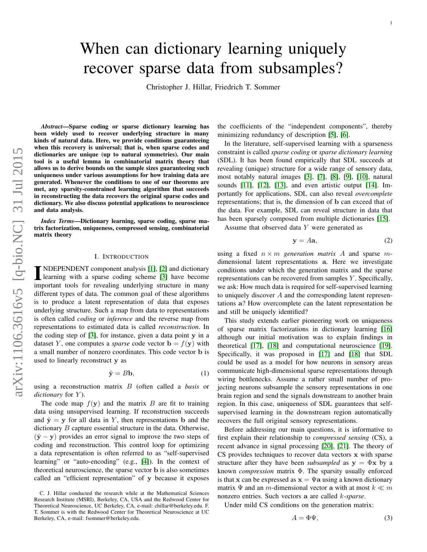# When can dictionary learning uniquely recover sparse data from subsamples?

Christopher J. Hillar, Friedrich T. Sommer

*Abstract*—Sparse coding or sparse dictionary learning has been widely used to recover underlying structure in many kinds of natural data. Here, we provide conditions guaranteeing when this recovery is universal; that is, when sparse codes and dictionaries are unique (up to natural symmetries). Our main tool is a useful lemma in combinatorial matrix theory that allows us to derive bounds on the sample sizes guaranteeing such uniqueness under various assumptions for how training data are generated. Whenever the conditions to one of our theorems are met, any sparsity-constrained learning algorithm that succeeds in reconstructing the data recovers the original sparse codes and dictionary. We also discuss potential applications to neuroscience and data analysis.

*Index Terms*—Dictionary learning, sparse coding, sparse matrix factorization, uniqueness, compressed sensing, combinatorial matrix theory

# I. INTRODUCTION

IMDEPENDENT component analysis [\[1\]](#page-6-0), [\[2\]](#page-6-1) and dictionary<br>learning with a sparse coding scheme [3] have become learning with a sparse coding scheme [\[3\]](#page-6-2) have become important tools for revealing underlying structure in many different types of data. The common goal of these algorithms is to produce a latent representation of data that exposes underlying structure. Such a map from data to representations is often called *coding* or *inference* and the reverse map from representations to estimated data is called *reconstruction*. In the coding step of [\[3\]](#page-6-2), for instance, given a data point y in a dataset Y, one computes a *sparse* code vector  $\mathbf{b} = f(\mathbf{y})$  with a small number of nonzero coordinates. This code vector b is used to linearly reconstruct y as

$$
\hat{\mathbf{y}} = B\mathbf{b},\tag{1}
$$

using a reconstruction matrix B (often called a *basis* or *dictionary* for Y).

The code map  $f(y)$  and the matrix B are fit to training data using unsupervised learning. If reconstruction succeeds and  $\hat{y} = y$  for all data in Y, then representations b and the dictionary B capture essential structure in the data. Otherwise,  $(\hat{y} - y)$  provides an error signal to improve the two steps of coding and reconstruction. This control loop for optimizing a data representation is often referred to as "self-supervised learning" or "auto-encoding" (e.g., [\[4\]](#page-6-3)). In the context of theoretical neuroscience, the sparse vector b is also sometimes called an "efficient representation" of y because it exposes the coefficients of the "independent components", thereby minimizing redundancy of description [\[5\]](#page-6-4), [\[6\]](#page-7-0).

In the literature, self-supervised learning with a sparseness constraint is called *sparse coding* or *sparse dictionary learning* (SDL). It has been found empirically that SDL succeeds at revealing (unique) structure for a wide range of sensory data, most notably natural images [\[3\]](#page-6-2), [\[7\]](#page-7-1), [\[8\]](#page-7-2), [\[9\]](#page-7-3), [\[10\]](#page-7-4), natural sounds [\[11\]](#page-7-5), [\[12\]](#page-7-6), [\[13\]](#page-7-7), and even artistic output [\[14\]](#page-7-8). Importantly for applications, SDL can also reveal *overcomplete* representations; that is, the dimension of b can exceed that of the data. For example, SDL can reveal structure in data that has been sparsely composed from multiple dictionaries [\[15\]](#page-7-9).

Assume that observed data Y were generated as

<span id="page-0-0"></span>
$$
y = Aa,\t(2)
$$

using a fixed  $n \times m$  *generation matrix* A and sparse mdimensional latent representations a. Here we investigate conditions under which the generation matrix and the sparse representations can be recovered from samples Y . Specifically, we ask: How much data is required for self-supervised learning to uniquely discover A and the corresponding latent representations a? How overcomplete can the latent representation be and still be uniquely identified?

This study extends earlier pioneering work on uniqueness of sparse matrix factorizations in dictionary learning [\[16\]](#page-7-10) although our initial motivation was to explain findings in theoretical [\[17\]](#page-7-11), [\[18\]](#page-7-12) and computational neuroscience [\[19\]](#page-7-13). Specifically, it was proposed in [\[17\]](#page-7-11) and [\[18\]](#page-7-12) that SDL could be used as a model for how neurons in sensory areas communicate high-dimensional sparse representations through wiring bottlenecks. Assume a rather small number of projecting neurons subsample the sensory representations in one brain region and send the signals downstream to another brain region. In this case, uniqueness of SDL guarantees that selfsupervised learning in the downstream region automatically recovers the full original sensory representations.

Before addressing our main questions, it is informative to first explain their relationship to *compressed sensing* (CS), a recent advance in signal processing [\[20\]](#page-7-14), [\[21\]](#page-7-15). The theory of CS provides techniques to recover data vectors x with sparse structure after they have been *subsampled* as  $y = \Phi x$  by a known *compression* matrix Φ. The sparsity usually enforced is that x can be expressed as  $x = \Psi a$  using a known dictionary matrix  $\Psi$  and an m-dimensional vector a with at most  $k \ll m$ nonzero entries. Such vectors a are called k*-sparse*.

Under mild CS conditions on the generation matrix:

$$
A = \Phi \Psi,\tag{3}
$$

C. J. Hillar conducted the research while at the Mathematical Sciences Research Institute (MSRI), Berkeley, CA, USA and the Redwood Center for Theoretical Neuroscience, UC Berkeley, CA, e-mail: chillar@berkeley.edu. F. T. Sommer is with the Redwood Center for Theoretical Neuroscience at UC Berkeley, CA, e-mail: fsommer@berkeley.edu.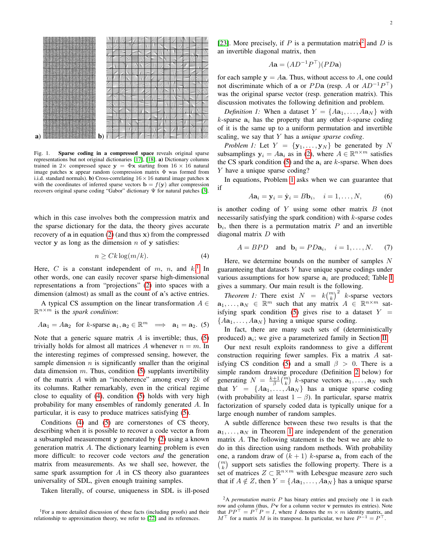

<span id="page-1-8"></span>Fig. 1. Sparse coding in a compressed space reveals original sparse representations but not original dictionaries [\[17\]](#page-7-11), [\[18\]](#page-7-12). a) Dictionary columns trained in 2× compressed space  $y = \Phi x$  starting from 16 × 16 natural image patches x appear random (compression matrix Φ was formed from i.i.d. standard normals). **b**) Cross-correlating  $16 \times 16$  natural image patches x with the coordinates of inferred sparse vectors  $\mathbf{b} = f(\mathbf{y})$  after compression recovers original sparse coding "Gabor" dictionary Ψ for natural patches [\[3\]](#page-6-2).

which in this case involves both the compression matrix and the sparse dictionary for the data, the theory gives accurate recovery of a in equation [\(2\)](#page-0-0) (and thus x) from the compressed vector  $y$  as long as the dimension  $n$  of  $y$  satisfies:

<span id="page-1-2"></span>
$$
n \ge Ck \log(m/k). \tag{4}
$$

Here, C is a constant independent of m, n, and  $k$ .<sup>[1](#page-1-0)</sup> In other words, one can easily recover sparse high-dimensional representations a from "projections" [\(2\)](#page-0-0) into spaces with a dimension (almost) as small as the count of a's active entries.

A typical CS assumption on the linear transformation  $A \in$  $\mathbb{R}^{n \times m}$  is the *spark condition*:

<span id="page-1-1"></span>
$$
Aa_1 = Aa_2
$$
 for k-sparse  $a_1, a_2 \in \mathbb{R}^m \implies a_1 = a_2$ . (5)

Note that a generic square matrix  $\vec{A}$  is invertible; thus, [\(5\)](#page-1-1) trivially holds for almost all matrices A whenever  $n = m$ . In the interesting regimes of compressed sensing, however, the sample dimension  $n$  is significantly smaller than the original data dimension  $m$ . Thus, condition [\(5\)](#page-1-1) supplants invertibility of the matrix  $A$  with an "incoherence" among every  $2k$  of its columns. Rather remarkably, even in the critical regime close to equality of [\(4\)](#page-1-2), condition [\(5\)](#page-1-1) holds with very high probability for many ensembles of randomly generated A. In particular, it is easy to produce matrices satisfying [\(5\)](#page-1-1).

Conditions [\(4\)](#page-1-2) and [\(5\)](#page-1-1) are cornerstones of CS theory, describing when it is possible to recover a code vector a from a subsampled measurement y generated by [\(2\)](#page-0-0) using a known generation matrix A. The dictionary learning problem is even more difficult: to recover code vectors *and* the generation matrix from measurements. As we shall see, however, the same spark assumption for  $A$  in CS theory also guarantees universality of SDL, given enough training samples.

Taken literally, of course, uniqueness in SDL is ill-posed

[\[23\]](#page-7-17). More precisely, if P is a permutation matrix<sup>[2](#page-1-3)</sup> and D is an invertible diagonal matrix, then

$$
A\mathbf{a} = (AD^{-1}P^\top)(PD\mathbf{a})
$$

for each sample  $y = Aa$ . Thus, without access to A, one could not discriminate which of a or  $PDa$  (resp. A or  $AD^{-1}P^{\top}$ ) was the original sparse vector (resp. generation matrix). This discussion motivates the following definition and problem.

*Definition 1:* When a dataset  $Y = \{Aa_1, \ldots, Aa_N\}$  with  $k$ -sparse  $a_i$  has the property that any other  $k$ -sparse coding of it is the same up to a uniform permutation and invertible scaling, we say that Y has a *unique sparse coding*.

<span id="page-1-4"></span>*Problem 1:* Let  $Y = \{y_1, \ldots, y_N\}$  be generated by N subsamplings  $y_i = Aa_i$  as in [\(2\)](#page-0-0), where  $A \in \mathbb{R}^{n \times m}$  satisfies the CS spark condition [\(5\)](#page-1-1) and the  $a_i$  are k-sparse. When does Y have a unique sparse coding?

In equations, Problem [1](#page-1-4) asks when we can guarantee that if

<span id="page-1-6"></span>
$$
A\mathbf{a}_i = \mathbf{y}_i = \hat{\mathbf{y}}_i = B\mathbf{b}_i, \quad i = 1, \dots, N,
$$
 (6)

is another coding of Y using some other matrix  $B$  (not necessarily satisfying the spark condition) with  $k$ -sparse codes **, then there is a permutation matrix**  $P$  **and an invertible** diagonal matrix D with

<span id="page-1-7"></span>
$$
A = BPD \quad \text{and} \quad \mathbf{b}_i = PD\mathbf{a}_i, \quad i = 1, \dots, N. \tag{7}
$$

Here, we determine bounds on the number of samples  $N$ guaranteeing that datasets  $Y$  have unique sparse codings under various assumptions for how sparse  $a_i$  are produced; Table [I](#page-2-0) gives a summary. Our main result is the following.

<span id="page-1-5"></span>*Theorem 1:* There exist  $N = k {m \choose k}^2$  k-sparse vectors  $\mathbf{a}_1, \dots, \mathbf{a}_N \in \mathbb{R}^m$  such that any matrix  $A \in \mathbb{R}^{n \times m}$  sat-isfying spark condition [\(5\)](#page-1-1) gives rise to a dataset  $Y =$  ${Aa_1, \ldots, Aa_N}$  having a unique sparse coding.

In fact, there are many such sets of (deterministically produced)  $a_i$ ; we give a parameterized family in Section [II.](#page-2-1)

Our next result exploits randomness to give a different construction requiring fewer samples. Fix a matrix A sat-isfying CS condition [\(5\)](#page-1-1) and a small  $\beta > 0$ . There is a simple random drawing procedure (Definition [2](#page-3-0) below) for generating  $N = \frac{k+1}{\beta} {m \choose k}$  k-sparse vectors  $\mathbf{a}_1, \dots, \mathbf{a}_N$  such that  $Y = \{Aa_1, \ldots, Aa_N\}$  has a unique sparse coding (with probability at least  $1 - \beta$ ). In particular, sparse matrix factorization of sparsely coded data is typically unique for a large enough number of random samples.

A subtle difference between these two results is that the  $a_1, \ldots, a_N$  in Theorem [1](#page-1-5) are independent of the generation matrix A. The following statement is the best we are able to do in this direction using random methods. With probability one, a random draw of  $(k + 1)$  k-sparse  $a_i$  from each of the  $\binom{m}{k}$  support sets satisfies the following property. There is a set of matrices  $Z \subset \mathbb{R}^{n \times m}$  with Lebesgue measure zero such that if  $A \notin Z$ , then  $Y = \{Aa_1, \ldots, Aa_N\}$  has a unique sparse

<span id="page-1-0"></span><sup>&</sup>lt;sup>1</sup>For a more detailed discussion of these facts (including proofs) and their relationship to approximation theory, we refer to [\[22\]](#page-7-16) and its references.

<span id="page-1-3"></span><sup>2</sup>A *permutation matrix* P has binary entries and precisely one 1 in each row and column (thus,  $P$ **v** for a column vector **v** permutes its entries). Note that  $PP^{\top} = P^{\top} P = I$ , where I denotes the  $m \times m$  identity matrix, and  $M^{\top}$  for a matrix M is its transpose. In particular, we have  $P^{-1} = P^{\top}$ .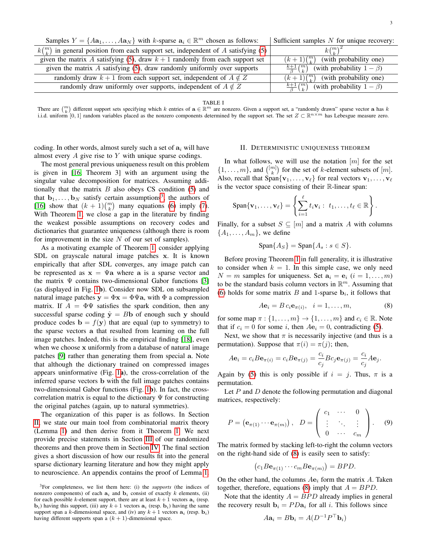| Samples $Y = \{A\mathbf{a}_1, \dots, A\mathbf{a}_N\}$ with k-sparse $\mathbf{a}_i \in \mathbb{R}^m$ chosen as follows: | Sufficient samples $N$ for unique recovery:                      |
|------------------------------------------------------------------------------------------------------------------------|------------------------------------------------------------------|
| $k\binom{m}{k}$ in general position from each support set, independent of A satisfying (5)                             | $k(\binom{m}{1})^2$                                              |
| given the matrix A satisfying (5), draw $k + 1$ randomly from each support set                                         | $(k+1)\binom{m}{k}$ (with probability one)                       |
| given the matrix $A$ satisfying (5), draw randomly uniformly over supports                                             | $\frac{k+1}{\beta} \binom{m}{k}$ (with probability $1 - \beta$ ) |
| randomly draw $k + 1$ from each support set, independent of $A \notin Z$                                               | $\overline{(k+1)\binom{m}{k}}$ (with probability one)            |
| randomly draw uniformly over supports, independent of $A \notin Z$                                                     | $\frac{k+1}{\beta} \binom{m}{k}$ (with probability $1 - \beta$ ) |

TABLE I

<span id="page-2-0"></span>There are  $\binom{m}{k}$  different support sets specifying which k entries of  $\mathbf{a} \in \mathbb{R}^m$  are nonzero. Given a support set, a "randomly drawn" sparse vector  $\mathbf{a}$  has k i.i.d. uniform [0, 1] random variables placed as the nonzero components determined by the support set. The set  $Z \subset \mathbb{R}^{n \times m}$  has Lebesgue measure zero.

coding. In other words, almost surely such a set of  $a_i$  will have almost every  $A$  give rise to  $Y$  with unique sparse codings.

The most general previous uniqueness result on this problem is given in [\[16,](#page-7-10) Theorem 3] with an argument using the singular value decomposition for matrices. Assuming additionally that the matrix  $B$  also obeys CS condition [\(5\)](#page-1-1) and that  $\mathbf{b}_1, \dots, \mathbf{b}_N$  satisfy certain assumptions<sup>[3](#page-2-2)</sup>, the authors of [\[16\]](#page-7-10) show that  $(k + 1) {m \choose k}$  many equations [\(6\)](#page-1-6) imply [\(7\)](#page-1-7). With Theorem [1,](#page-1-5) we close a gap in the literature by finding the weakest possible assumptions on recovery codes and dictionaries that guarantee uniqueness (although there is room for improvement in the size  $N$  of our set of samples).

As a motivating example of Theorem [1,](#page-1-5) consider applying SDL on grayscale natural image patches x. It is known empirically that after SDL converges, any image patch can be represented as  $x = \Psi a$  where a is a sparse vector and the matrix  $\Psi$  contains two-dimensional Gabor functions [\[3\]](#page-6-2) (as displayed in Fig. [1](#page-1-8)b). Consider now SDL on subsampled natural image patches  $y = \Phi x = \Phi \Psi a$ , with  $\Phi$  a compression matrix. If  $A = \Phi \Psi$  satisfies the spark condition, then any successful sparse coding  $\hat{y} = Bb$  of enough such y should produce codes  $\mathbf{b} = f(\mathbf{y})$  that are equal (up to symmetry) to the sparse vectors a that resulted from learning on the full image patches. Indeed, this is the empirical finding [\[18\]](#page-7-12), even when we choose x uniformly from a database of natural image patches [\[9\]](#page-7-3) rather than generating them from special a. Note that although the dictionary trained on compressed images appears uninformative (Fig. [1](#page-1-8)a), the cross-correlation of the inferred sparse vectors b with the full image patches contains two-dimensional Gabor functions (Fig. [1](#page-1-8)b). In fact, the crosscorrelation matrix is equal to the dictionary  $\Psi$  for constructing the original patches (again, up to natural symmetries).

The organization of this paper is as follows. In Section [II,](#page-2-1) we state our main tool from combinatorial matrix theory (Lemma [1\)](#page-3-1) and then derive from it Theorem [1.](#page-1-5) We next provide precise statements in Section [III](#page-3-2) of our randomized theorems and then prove them in Section [IV.](#page-4-0) The final section gives a short discussion of how our results fit into the general sparse dictionary learning literature and how they might apply to neuroscience. An appendix contains the proof of Lemma [1.](#page-3-1)

#### II. DETERMINISTIC UNIQUENESS THEOREM

<span id="page-2-1"></span>In what follows, we will use the notation  $[m]$  for the set  $\{1, \ldots, m\}$ , and  $\binom{[m]}{k}$  for the set of k-element subsets of  $[m]$ . Also, recall that Span $\{v_1, \ldots, v_\ell\}$  for real vectors  $v_1, \ldots, v_\ell$ is the vector space consisting of their R-linear span:

$$
\mathrm{Span}\{\mathbf{v}_1,\ldots,\mathbf{v}_{\ell}\}=\left\{\sum_{i=1}^{\ell}t_i\mathbf{v}_i:\ t_1,\ldots,t_{\ell}\in\mathbb{R}\right\}.
$$

Finally, for a subset  $S \subseteq [m]$  and a matrix A with columns  ${A_1, \ldots, A_m}$ , we define

$$
\text{Span}\{A_S\} = \text{Span}\{A_s : s \in S\}.
$$

Before proving Theorem [1](#page-1-5) in full generality, it is illustrative to consider when  $k = 1$ . In this simple case, we only need  $N = m$  samples for uniqueness. Set  $a_i = e_i$   $(i = 1, \ldots, m)$ to be the standard basis column vectors in  $\mathbb{R}^m$ . Assuming that [\(6\)](#page-1-6) holds for some matrix  $B$  and 1-sparse  $\mathbf{b}_i$ , it follows that

<span id="page-2-3"></span>
$$
A\mathbf{e}_i = B c_i \mathbf{e}_{\pi(i)}, \quad i = 1, \dots, m,
$$
 (8)

for some map  $\pi : \{1, \ldots, m\} \to \{1, \ldots, m\}$  and  $c_i \in \mathbb{R}$ . Note that if  $c_i = 0$  for some i, then  $A\mathbf{e}_i = 0$ , contradicting [\(5\)](#page-1-1).

Next, we show that  $\pi$  is necessarily injective (and thus is a permutation). Suppose that  $\pi(i) = \pi(j)$ ; then,

$$
A\mathbf{e}_i = c_i B\mathbf{e}_{\pi(i)} = c_i B\mathbf{e}_{\pi(j)} = \frac{c_i}{c_j} Bc_j \mathbf{e}_{\pi(j)} = \frac{c_i}{c_j} A\mathbf{e}_j.
$$

Again by [\(5\)](#page-1-1) this is only possible if  $i = j$ . Thus,  $\pi$  is a permutation.

Let  $P$  and  $D$  denote the following permutation and diagonal matrices, respectively:

<span id="page-2-4"></span>
$$
P = (\mathbf{e}_{\pi(1)} \cdots \mathbf{e}_{\pi(m)}), \quad D = \begin{pmatrix} c_1 & \cdots & 0 \\ \vdots & \ddots & \vdots \\ 0 & \cdots & c_m \end{pmatrix}.
$$
 (9)

The matrix formed by stacking left-to-right the column vectors on the right-hand side of [\(8\)](#page-2-3) is easily seen to satisfy:

$$
(c_1 B \mathbf{e}_{\pi(1)} \cdots c_m B \mathbf{e}_{\pi(m)}) = BPD.
$$

On the other hand, the columns  $A\mathbf{e}_i$  form the matrix A. Taken together, therefore, equations [\(8\)](#page-2-3) imply that  $A = BPD$ .

Note that the identity  $A = BPD$  already implies in general the recovery result  $\mathbf{b}_i = PD\mathbf{a}_i$  for all i. This follows since

$$
A\mathbf{a}_i = B\mathbf{b}_i = A(D^{-1}P^\top \mathbf{b}_i)
$$

<span id="page-2-2"></span><sup>3</sup>For completeness, we list them here: (i) the *supports* (the indices of nonzero components) of each  $a_i$  and  $b_i$  consist of exactly k elements, (ii) for each possible k-element support, there are at least  $k + 1$  vectors  $a_i$  (resp. **) having this support, (iii) any**  $k+1$  **vectors**  $**a**<sub>i</sub>$  **(resp.**  $**b**<sub>i</sub>$ **) having the same** support span a k-dimensional space, and (iv) any  $k + 1$  vectors  $\mathbf{a}_i$  (resp.  $\mathbf{b}_i$ ) having different supports span a  $(k + 1)$ -dimensional space.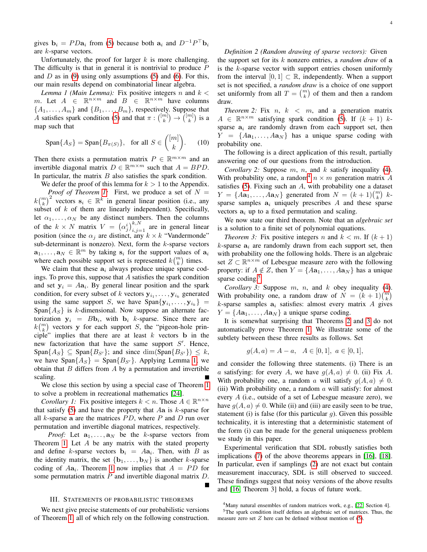gives  $\mathbf{b}_i = P D \mathbf{a}_i$  from [\(5\)](#page-1-1) because both  $\mathbf{a}_i$  and  $D^{-1} P^{\top} \mathbf{b}_i$ are k-sparse vectors.

Unfortunately, the proof for larger  $k$  is more challenging. The difficulty is that in general it is nontrivial to produce  $$ and  $D$  as in [\(9\)](#page-2-4) using only assumptions [\(5\)](#page-1-1) and [\(6\)](#page-1-6). For this, our main results depend on combinatorial linear algebra.

<span id="page-3-1"></span>*Lemma 1 (Main Lemma):* Fix positive integers n and  $k <$ m. Let  $A \in \mathbb{R}^{n \times m}$  and  $B \in \mathbb{R}^{n \times m}$  have columns  $\{A_1, \ldots, A_m\}$  and  $\{B_1, \ldots, B_m\}$ , respectively. Suppose that A satisfies spark condition [\(5\)](#page-1-1) and that  $\pi: \binom{[m]}{k} \to \binom{[m]}{k}$  is a map such that

<span id="page-3-7"></span>
$$
\text{Span}\{A_S\} = \text{Span}\{B_{\pi(S)}\}, \text{ for all } S \in \binom{[m]}{k}. \tag{10}
$$

Then there exists a permutation matrix  $P \in \mathbb{R}^{m \times m}$  and an invertible diagonal matrix  $D \in \mathbb{R}^{m \times m}$  such that  $A = BPD$ . In particular, the matrix  $B$  also satisfies the spark condition.

We defer the proof of this lemma for  $k > 1$  to the Appendix. *Proof of Theorem [1:](#page-1-5)* First, we produce a set of  $N =$  $k\binom{m}{k}^2$  vectors  $\mathbf{s}_i \in \mathbb{R}^k$  in general linear position (i.e., any subset of  $k$  of them are linearly independent). Specifically, let  $\alpha_1, \ldots, \alpha_N$  be any distinct numbers. Then the columns of the  $k \times N$  matrix  $V = (\alpha_j^i)_{i,j=1}^{k,N}$  are in general linear position (since the  $\alpha_j$  are distinct, any  $k \times k$  "Vandermonde" sub-determinant is nonzero). Next, form the  $k$ -sparse vectors  $\mathbf{a}_1, \ldots, \mathbf{a}_N \in \mathbb{R}^m$  by taking  $\mathbf{s}_i$  for the support values of  $\mathbf{a}_i$ where each possible support set is represented  $k\binom{m}{k}$  times.

We claim that these  $a_i$  always produce unique sparse codings. To prove this, suppose that  $A$  satisfies the spark condition and set  $y_i = Aa_i$ . By general linear position and the spark condition, for every subset of k vectors  $y_{i_1}, \ldots, y_{i_k}$  generated using the same support S, we have  $Span{y_{i_1},...,y_{i_k}} =$ Span ${A_S}$  is k-dimensional. Now suppose an alternate factorization  $y_i = Bb_i$ , with  $b_i$  k-sparse. Since there are  $k\binom{m}{k}$  vectors y for each support S, the "pigeon-hole principle" implies that there are at least  $k$  vectors  $\bf{b}$  in the new factorization that have the same support  $S'$ . Hence,  $\text{Span}\{A_S\} \subseteq \text{Span}\{B_{S'}\}$ ; and since  $\dim(\text{Span}\{B_{S'}\}) \leq k$ , we have  $\text{Span}\{A_S\} = \text{Span}\{B_{S'}\}.$  Applying Lemma [1,](#page-3-1) we obtain that  $B$  differs from  $A$  by a permutation and invertible scaling.

We close this section by using a special case of Theorem [1](#page-1-5) to solve a problem in recreational mathematics [\[24\]](#page-7-18).

*Corollary 1:* Fix positive integers  $k < n$ . Those  $A \in \mathbb{R}^{n \times n}$ that satisfy  $(5)$  and have the property that Aa is k-sparse for all  $k$ -sparse a are the matrices  $PD$ , where  $P$  and  $D$  run over permutation and invertible diagonal matrices, respectively.

*Proof:* Let  $a_1, \ldots, a_N$  be the k-sparse vectors from Theorem [1.](#page-1-5) Let A be any matrix with the stated property and define k-sparse vectors  $\mathbf{b}_i = A\mathbf{a}_i$ . Then, with B as the identity matrix, the set  $\{b_1, \ldots, b_N\}$  is another k-sparse coding of  $Aa_i$ . Theorem [1](#page-1-5) now implies that  $A = PD$  for some permutation matrix  $P$  and invertible diagonal matrix  $D$ .

### III. STATEMENTS OF PROBABILISTIC THEOREMS

<span id="page-3-2"></span>We next give precise statements of our probabilistic versions of Theorem [1,](#page-1-5) all of which rely on the following construction.

## <span id="page-3-0"></span>*Definition 2 (Random drawing of sparse vectors):* Given

the support set for its k nonzero entries, a *random draw* of a is the k-sparse vector with support entries chosen uniformly from the interval  $[0, 1] \subset \mathbb{R}$ , independently. When a support set is not specified, a *random draw* is a choice of one support set uniformly from all  $T = \binom{m}{k}$  of them and then a random draw.

<span id="page-3-5"></span>*Theorem 2:* Fix  $n, k < m$ , and a generation matrix  $A \in \mathbb{R}^{n \times m}$  satisfying spark condition [\(5\)](#page-1-1). If  $(k + 1)$  ksparse  $a_i$  are randomly drawn from each support set, then  $Y = \{Aa_1, \ldots, Aa_N\}$  has a unique sparse coding with probability one.

The following is a direct application of this result, partially answering one of our questions from the introduction.

<span id="page-3-8"></span>*Corollary 2:* Suppose  $m$ ,  $n$ , and  $k$  satisfy inequality [\(4\)](#page-1-2). With probability one, a random<sup>[4](#page-3-3)</sup>  $n \times m$  generation matrix A satisfies  $(5)$ . Fixing such an  $A$ , with probability one a dataset  $Y = \{A\mathbf{a}_1, \dots, A\mathbf{a}_N\}$  generated from  $N = (k+1) {m \choose k} k$ sparse samples  $a_i$  uniquely prescribes  $A$  and these sparse vectors  $a_i$  up to a fixed permutation and scaling.

We now state our third theorem. Note that an *algebraic set* is a solution to a finite set of polynomial equations.

<span id="page-3-6"></span>*Theorem 3:* Fix positive integers n and  $k < m$ . If  $(k + 1)$  $k$ -sparse  $a_i$  are randomly drawn from each support set, then with probability one the following holds. There is an algebraic set  $Z \subset \mathbb{R}^{n \times m}$  of Lebesgue measure zero with the following property: if  $A \notin Z$ , then  $Y = \{Aa_1, \ldots, Aa_N\}$  has a unique sparse coding.<sup>[5](#page-3-4)</sup>

<span id="page-3-9"></span>*Corollary 3:* Suppose  $m$ ,  $n$ , and  $k$  obey inequality [\(4\)](#page-1-2). With probability one, a random draw of  $N = (k+1) {m \choose k}$ k-sparse samples  $a_i$  satisfies: almost every matrix A gives  $Y = \{Aa_1, \ldots, Aa_N\}$  a unique sparse coding.

It is somewhat surprising that Theorems [2](#page-3-5) and [3](#page-3-6) do not automatically prove Theorem [1.](#page-1-5) We illustrate some of the subtlety between these three results as follows. Set

$$
g(A, a) = A - a, A \in [0, 1], a \in [0, 1],
$$

and consider the following three statements. (i) There is an a satisfying: for every A, we have  $q(A, a) \neq 0$ . (ii) Fix A. With probability one, a random a will satisfy  $q(A, a) \neq 0$ . (iii) With probability one, a random  $\alpha$  will satisfy: for almost every A (i.e., outside of a set of Lebesgue measure zero), we have  $g(A, a) \neq 0$ . While (ii) and (iii) are easily seen to be true, statement (i) is false (for this particular  $q$ ). Given this possible technicality, it is interesting that a deterministic statement of the form (i) can be made for the general uniqueness problem we study in this paper.

Experimental verification that SDL robustly satisfies both implications [\(7\)](#page-1-7) of the above theorems appears in [\[16\]](#page-7-10), [\[18\]](#page-7-12). In particular, even if samplings [\(2\)](#page-0-0) are not exact but contain measurement inaccuracy, SDL is still observed to succeed. These findings suggest that noisy versions of the above results and [\[16,](#page-7-10) Theorem 3] hold, a focus of future work.

<span id="page-3-4"></span><span id="page-3-3"></span><sup>&</sup>lt;sup>4</sup>Many natural ensembles of random matrices work, e.g., [\[22,](#page-7-16) Section 4].  $5$ The spark condition itself defines an algebraic set of matrices. Thus, the measure zero set  $Z$  here can be defined without mention of  $(5)$ .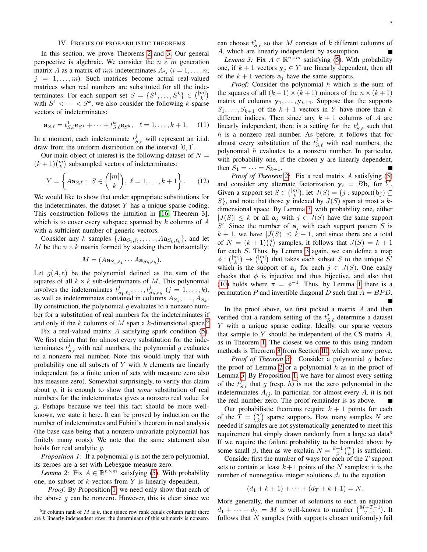## IV. PROOFS OF PROBABILISTIC THEOREMS

<span id="page-4-0"></span>In this section, we prove Theorems [2](#page-3-5) and [3.](#page-3-6) Our general perspective is algebraic. We consider the  $n \times m$  generation matrix A as a matrix of nm indeterminates  $A_{ij}$  ( $i = 1, \ldots, n;$  $j = 1, \ldots, m$ . Such matrices become actual real-valued matrices when real numbers are substituted for all the indeterminates. For each support set  $S = \{S^1, \ldots, S^k\} \in \binom{[m]}{k}$ with  $S^1 < \cdots < S^k$ , we also consider the following k-sparse vectors of indeterminates:

$$
\mathbf{a}_{S,\ell} = t_{S,\ell}^1 \mathbf{e}_{S^1} + \dots + t_{S,\ell}^k \mathbf{e}_{S^k}, \quad \ell = 1, \dots, k+1. \tag{11}
$$

In a moment, each indeterminate  $t_{S,\ell}^j$  will represent an i.i.d. draw from the uniform distribution on the interval [0, 1].

Our main object of interest is the following dataset of  $N =$  $(k+1) {m \choose k}$  subsampled vectors of indeterminates:

$$
Y = \left\{ A \mathbf{a}_{S,\ell} : S \in \binom{[m]}{k}, \ell = 1, ..., k+1 \right\}.
$$
 (12)

We would like to show that under appropriate substitutions for the indeterminates, the dataset  $Y$  has a unique sparse coding. This construction follows the intuition in [\[16,](#page-7-10) Theorem 3], which is to cover every subspace spanned by  $k$  columns of  $A$ with a sufficient number of generic vectors.

Consider any k samples  $\{A{\bf a}_{S_1,\ell_1}, \ldots, A{\bf a}_{S_k,\ell_k}\}$ , and let M be the  $n \times k$  matrix formed by stacking them horizontally:

$$
M=(A\mathbf{a}_{S_1,\ell_1}\cdots A\mathbf{a}_{S_k,\ell_k}).
$$

Let  $g(A, t)$  be the polynomial defined as the sum of the squares of all  $k \times k$  sub-determinants of M. This polynomial involves the indeterminates  $t_{S_1,\ell_1}^j, \ldots, t_{S_k,\ell_k}^j$  ( $j = 1, \ldots, k$ ), as well as indeterminates contained in columns  $A_{S_1}, \ldots, A_{S_k}$ . By construction, the polynomial  $q$  evaluates to a nonzero number for a substitution of real numbers for the indeterminates if and only if the k columns of M span a k-dimensional space.<sup>[6](#page-4-1)</sup>

Fix a real-valued matrix A satisfying spark condition [\(5\)](#page-1-1). We first claim that for almost every substitution for the indeterminates  $t_{S,\ell}^j$  with real numbers, the polynomial g evaluates to a nonzero real number. Note this would imply that with probability one all subsets of  $Y$  with  $k$  elements are linearly independent (as a finite union of sets with measure zero also has measure zero). Somewhat surprisingly, to verify this claim about g, it is enough to show that *some* substitution of real numbers for the indeterminates gives a nonzero real value for g. Perhaps because we feel this fact should be more wellknown, we state it here. It can be proved by induction on the number of indeterminates and Fubini's theorem in real analysis (the base case being that a nonzero univariate polynomial has finitely many roots). We note that the same statement also holds for real analytic g.

<span id="page-4-2"></span>*Proposition 1:* If a polynomial *q* is not the zero polynomial, its zeroes are a set with Lebesgue measure zero.

<span id="page-4-4"></span>*Lemma 2:* Fix  $A \in \mathbb{R}^{n \times m}$  satisfying [\(5\)](#page-1-1). With probability one, no subset of  $k$  vectors from  $Y$  is linearly dependent.

*Proof:* By Proposition [1,](#page-4-2) we need only show that each of the above  $g$  can be nonzero. However, this is clear since we can choose  $t_{S,\ell}^j$  so that M consists of k different columns of A, which are linearly independent by assumption.

<span id="page-4-3"></span>*Lemma 3:* Fix  $A \in \mathbb{R}^{n \times m}$  satisfying [\(5\)](#page-1-1). With probability one, if  $k + 1$  vectors  $y_j \in Y$  are linearly dependent, then all of the  $k + 1$  vectors  $a_j$  have the same supports.

*Proof:* Consider the polynomial h which is the sum of the squares of all  $(k+1) \times (k+1)$  minors of the  $n \times (k+1)$ matrix of columns  $y_1, \ldots, y_{k+1}$ . Suppose that the supports  $S_1, \ldots, S_{k+1}$  of the  $k+1$  vectors in Y have more than k different indices. Then since any  $k + 1$  columns of A are linearly independent, there is a setting for the  $t_{S,\ell}^j$  such that  $h$  is a nonzero real number. As before, it follows that for almost every substitution of the  $t_{S,\ell}^j$  with real numbers, the polynomial  $h$  evaluates to a nonzero number. In particular, with probability one, if the chosen y are linearly dependent, then  $S_1 = \cdots = S_{k+1}$ .

*Proof of Theorem [2:](#page-3-5)* Fix a real matrix A satisfying [\(5\)](#page-1-1) and consider any alternate factorization  $y_i = Bb_i$  for Y. Given a support set  $S \in \binom{[m]}{k}$ , let  $J(S) = \{j : \text{support}(\mathbf{b}_j) \subseteq \emptyset\}$  $S$ , and note that those y indexed by  $J(S)$  span at most a kdimensional space. By Lemma [3,](#page-4-3) with probability one, either  $|J(S)| \leq k$  or all  $a_j$  with  $j \in J(S)$  have the same support S'. Since the number of  $a_j$  with each support pattern S is  $k + 1$ , we have  $|J(S)| \leq k + 1$ , and since there are a total of  $N = (k+1) {n \choose k}$  samples, it follows that  $J(S) = k+1$ for each S. Thus, by Lemma [3](#page-4-3) again, we can define a map  $\phi: \binom{[m]}{k} \to \binom{[m]}{k}$  that takes each subset S to the unique  $S'$ which is the support of  $a_j$  for each  $j \in J(S)$ . One easily checks that  $\phi$  is injective and thus bijective, and also that [\(10\)](#page-3-7) holds where  $\pi = \phi^{-1}$ . Thus, by Lemma [1](#page-3-1) there is a permutation P and invertible diagonal D such that  $A = BPD$ .

In the proof above, we first picked a matrix  $A$  and then verified that a random setting of the  $t_{S,\ell}^j$  determine a dataset Y with a unique sparse coding. Ideally, our sparse vectors that sample to  $Y$  should be independent of the CS matrix  $A$ , as in Theorem [1.](#page-1-5) The closest we come to this using random methods is Theorem [3](#page-3-6) from Section [III,](#page-3-2) which we now prove.

*Proof of Theorem [3:](#page-3-6)* Consider a polynomial g before the proof of Lemma [2](#page-4-4) or a polynomial  $h$  as in the proof of Lemma [3.](#page-4-3) By Proposition [1,](#page-4-2) we have for almost every setting of the  $t_{S,\ell}^j$  that g (resp. h) is not the zero polynomial in the indeterminates  $A_{ij}$ . In particular, for almost every  $A$ , it is not the real number zero. The proof remainder is as above.

Our probabilistic theorems require  $k + 1$  points for each of the  $T = \binom{m}{k}$  sparse supports. How many samples N are needed if samples are not systematically generated to meet this requirement but simply drawn randomly from a large set data? If we require the failure probability to be bounded above by some small  $\beta$ , then as we explain  $N = \frac{k+1}{\beta} {m \choose k}$  is sufficient.

Consider first the number of ways for each of the T support sets to contain at least  $k+1$  points of the N samples: it is the number of nonnegative integer solutions  $d_i$  to the equation

$$
(d_1 + k + 1) + \cdots + (d_T + k + 1) = N.
$$

More generally, the number of solutions to such an equation  $d_1 + \cdots + d_T = M$  is well-known to number  $\binom{M+T-1}{T-1}$ . It follows that  $N$  samples (with supports chosen uniformly) fail

<span id="page-4-1"></span><sup>&</sup>lt;sup>6</sup>If column rank of M is k, then (since row rank equals column rank) there are k linearly independent rows; the determinant of this submatrix is nonzero.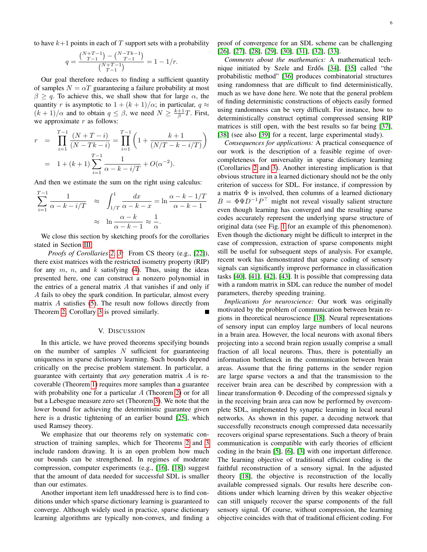$$
q = \frac{\binom{N+T-1}{T-1} - \binom{N-Tk-1}{T-1}}{\binom{N+T-1}{T-1}} = 1 - 1/r.
$$

Our goal therefore reduces to finding a sufficient quantity of samples  $N = \alpha T$  guaranteeing a failure probability at most  $\beta \ge q$ . To achieve this, we shall show that for large  $\alpha$ , the quantity r is asymptotic to  $1 + (k + 1)/\alpha$ ; in particular,  $q \approx$  $(k+1)/\alpha$  and to obtain  $q \leq \beta$ , we need  $N \geq \frac{k+1}{\beta}T$ . First, we approximate  $r$  as follows:

$$
r = \prod_{i=1}^{T-1} \frac{(N+T-i)}{(N-Tk-i)} = \prod_{i=1}^{T-1} \left(1 + \frac{k+1}{(N/T-k-i/T)}\right)
$$
  
=  $1 + (k+1) \sum_{i=1}^{T-1} \frac{1}{\alpha - k - i/T} + O(\alpha^{-2}).$ 

And then we estimate the sum on the right using calculus:

$$
\sum_{i=1}^{T-1} \frac{1}{\alpha - k - i/T} \quad \approx \quad \int_{1/T}^{1} \frac{dx}{\alpha - k - x} = \ln \frac{\alpha - k - 1/T}{\alpha - k - 1}
$$

$$
\approx \quad \ln \frac{\alpha - k}{\alpha - k - 1} \approx \frac{1}{\alpha}.
$$

We close this section by sketching proofs for the corollaries stated in Section [III.](#page-3-2)

*Proofs of Corollaries [2,](#page-3-8) [3:](#page-3-9)* From CS theory (e.g., [\[22\]](#page-7-16)), there exist matrices with the restricted isometry property (RIP) for any  $m$ ,  $n$ , and  $k$  satisfying [\(4\)](#page-1-2). Thus, using the ideas presented here, one can construct a nonzero polynomial in the entries of a general matrix  $A$  that vanishes if and only if A fails to obey the spark condition. In particular, almost every matrix A satisfies [\(5\)](#page-1-1). The result now follows directly from Theorem [2;](#page-3-5) Corollary [3](#page-3-9) is proved similarly.

## V. DISCUSSION

In this article, we have proved theorems specifying bounds on the number of samples  $N$  sufficient for guaranteeing uniqueness in sparse dictionary learning. Such bounds depend critically on the precise problem statement. In particular, a guarantee with certainty that *any* generation matrix A is recoverable (Theorem [1\)](#page-1-5) requires more samples than a guarantee with probability one for a particular  $A$  (Theorem [2\)](#page-3-5) or for all but a Lebesgue measure zero set (Theorem [3\)](#page-3-6). We note that the lower bound for achieving the deterministic guarantee given here is a drastic tightening of an earlier bound [\[25\]](#page-7-19), which used Ramsey theory.

We emphasize that our theorems rely on systematic construction of training samples, which for Theorems [2](#page-3-5) and [3](#page-3-6) include random drawing. It is an open problem how much our bounds can be strengthened. In regimes of moderate compression, computer experiments (e.g., [\[16\]](#page-7-10), [\[18\]](#page-7-12)) suggest that the amount of data needed for successful SDL is smaller than our estimates.

Another important item left unaddressed here is to find conditions under which sparse dictionary learning is guaranteed to converge. Although widely used in practice, sparse dictionary learning algorithms are typically non-convex, and finding a proof of convergence for an SDL scheme can be challenging [\[26\]](#page-7-20), [\[27\]](#page-7-21), [\[28\]](#page-7-22), [\[29\]](#page-7-23), [\[30\]](#page-7-24), [\[31\]](#page-7-25), [\[32\]](#page-7-26), [\[33\]](#page-7-27).

*Comments about the mathematics:* A mathematical tech-nique initiated by Szele and Erdős [\[34\]](#page-7-28), [\[35\]](#page-7-29) called "the probabilistic method" [\[36\]](#page-7-30) produces combinatorial structures using randomness that are difficult to find deterministically, much as we have done here. We note that the general problem of finding deterministic constructions of objects easily formed using randomness can be very difficult. For instance, how to deterministically construct optimal compressed sensing RIP matrices is still open, with the best results so far being [\[37\]](#page-7-31), [\[38\]](#page-7-32) (see also [\[39\]](#page-7-33) for a recent, large experimental study).

*Consequences for applications:* A practical consequence of our work is the description of a feasible regime of overcompleteness for universality in sparse dictionary learning (Corollaries [2](#page-3-8) and [3\)](#page-3-9). Another interesting implication is that obvious structure in a learned dictionary should not be the only criterion of success for SDL. For instance, if compression by a matrix  $\Phi$  is involved, then columns of a learned dictionary  $B = \Phi \Psi D^{-1} P^{\top}$  might not reveal visually salient structure even though learning has converged and the resulting sparse codes accurately represent the underlying sparse structure of original data (see Fig. [1](#page-1-8) for an example of this phenomenon). Even though the dictionary might be difficult to interpret in the case of compression, extraction of sparse components might still be useful for subsequent steps of analysis. For example, recent work has demonstrated that sparse coding of sensory signals can significantly improve performance in classification tasks [\[40\]](#page-7-34), [\[41\]](#page-7-35), [\[42\]](#page-7-36), [\[43\]](#page-7-37). It is possible that compressing data with a random matrix in SDL can reduce the number of model parameters, thereby speeding training.

*Implications for neuroscience:* Our work was originally motivated by the problem of communication between brain regions in theoretical neuroscience [\[18\]](#page-7-12). Neural representations of sensory input can employ large numbers of local neurons in a brain area. However, the local neurons with axonal fibers projecting into a second brain region usually comprise a small fraction of all local neurons. Thus, there is potentially an information bottleneck in the communication between brain areas. Assume that the firing patterns in the sender region are large sparse vectors a and that the transmission to the receiver brain area can be described by compression with a linear transformation  $\Phi$ . Decoding of the compressed signals y in the receiving brain area can now be performed by overcomplete SDL, implemented by synaptic learning in local neural networks. As shown in this paper, a decoding network that successfully reconstructs enough compressed data necessarily recovers original sparse representations. Such a theory of brain communication is compatible with early theories of efficient coding in the brain [\[5\]](#page-6-4), [\[6\]](#page-7-0), [\[3\]](#page-6-2) with one important difference. The learning objective of traditional efficient coding is the faithful reconstruction of a sensory signal. In the adjusted theory [\[18\]](#page-7-12), the objective is reconstruction of the locally available compressed signals. Our results here describe conditions under which learning driven by this weaker objective can still uniquely recover the sparse components of the full sensory signal. Of course, without compression, the learning objective coincides with that of traditional efficient coding. For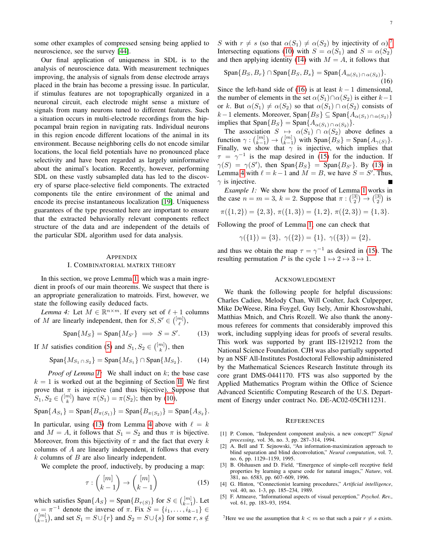some other examples of compressed sensing being applied to neuroscience, see the survey [\[44\]](#page-7-38).

Our final application of uniqueness in SDL is to the analysis of neuroscience data. With measurement techniques improving, the analysis of signals from dense electrode arrays placed in the brain has become a pressing issue. In particular, if stimulus features are not topographically organized in a neuronal circuit, each electrode might sense a mixture of signals from many neurons tuned to different features. Such a situation occurs in multi-electrode recordings from the hippocampal brain region in navigating rats. Individual neurons in this region encode different locations of the animal in its environment. Because neighboring cells do not encode similar locations, the local field potentials have no pronounced place selectivity and have been regarded as largely uninformative about the animal's location. Recently, however, performing SDL on these vastly subsampled data has led to the discovery of sparse place-selective field components. The extracted components tile the entire environment of the animal and encode its precise instantaneous localization [\[19\]](#page-7-13). Uniqueness guarantees of the type presented here are important to ensure that the extracted behaviorally relevant components reflect structure of the data and are independent of the details of the particular SDL algorithm used for data analysis.

### <span id="page-6-6"></span>APPENDIX

## I. COMBINATORIAL MATRIX THEORY

In this section, we prove Lemma [1,](#page-3-1) which was a main ingredient in proofs of our main theorems. We suspect that there is an appropriate generalization to matroids. First, however, we state the following easily deduced facts.

*Lemma 4:* Let  $M \in \mathbb{R}^{n \times m}$ . If every set of  $\ell + 1$  columns of M are linearly independent, then for  $S, S' \in \binom{[m]}{\ell}$ ,

<span id="page-6-5"></span>
$$
\text{Span}\{M_S\} = \text{Span}\{M_{S'}\} \implies S = S'. \tag{13}
$$

If M satisfies condition [\(5\)](#page-1-1) and  $S_1, S_2 \in \binom{[m]}{k}$ , then

<span id="page-6-8"></span>
$$
\text{Span}\{M_{S_1 \cap S_2}\} = \text{Span}\{M_{S_1}\} \cap \text{Span}\{M_{S_2}\}. \tag{14}
$$

*Proof of Lemma [1:](#page-3-1)* We shall induct on k; the base case  $k = 1$  is worked out at the beginning of Section [II.](#page-2-1) We first prove that  $\pi$  is injective (and thus bijective). Suppose that  $S_1, S_2 \in \binom{[m]}{k}$  have  $\pi(S_1) = \pi(S_2)$ ; then by [\(10\)](#page-3-7),

$$
Span{A_{S_1}} = Span{B_{\pi(S_1)}} = Span{B_{\pi(S_2)}} = Span{A_{S_2}}.
$$

In particular, using [\(13\)](#page-6-5) from Lemma [4](#page-6-6) above with  $\ell = k$ and  $M = A$ , it follows that  $S_1 = S_2$  and thus  $\pi$  is bijective. Moreover, from this bijectivity of  $\pi$  and the fact that every k columns of A are linearly independent, it follows that every  $k$  columns of  $B$  are also linearly independent.

We complete the proof, inductively, by producing a map:

<span id="page-6-10"></span>
$$
\tau : \binom{[m]}{k-1} \to \binom{[m]}{k-1} \tag{15}
$$

which satisfies  $\text{Span}\{A_S\} = \text{Span}\{B_{\tau(S)}\}$  for  $S \in \binom{[m]}{k-1}$ . Let  $\alpha = \pi^{-1}$  denote the inverse of  $\pi$ . Fix  $S = \{i_1, \ldots, i_{k-1}\} \in$  $\binom{[m]}{k-1}$ , and set  $S_1 = S \cup \{r\}$  and  $S_2 = S \cup \{s\}$  for some  $r, s \notin \mathbb{R}$ 

S with  $r \neq s$  (so that  $\alpha(S_1) \neq \alpha(S_2)$  by injectivity of  $\alpha$ ).<sup>[7](#page-6-7)</sup> Intersecting equations [\(10\)](#page-3-7) with  $S = \alpha(S_1)$  and  $S = \alpha(S_2)$ and then applying identity [\(14\)](#page-6-8) with  $M = A$ , it follows that

<span id="page-6-9"></span>
$$
\text{Span}\{B_S, B_r\} \cap \text{Span}\{B_S, B_s\} = \text{Span}\{A_{\alpha(S_1) \cap \alpha(S_2)}\}.
$$
\n(16)

Since the left-hand side of [\(16\)](#page-6-9) is at least  $k - 1$  dimensional, the number of elements in the set  $\alpha(S_1) \cap \alpha(S_2)$  is either  $k-1$ or k. But  $\alpha(S_1) \neq \alpha(S_2)$  so that  $\alpha(S_1) \cap \alpha(S_2)$  consists of  $k-1$  elements. Moreover, Span ${B_S}$  ⊆ Span ${A_{\alpha(S_1) \cap \alpha(S_2)}\}$ implies that  $\text{Span}\{B_S\} = \text{Span}\{A_{\alpha(S_1) \cap \alpha(S_2)}\}.$ 

The association  $S \mapsto \alpha(S_1) \cap \alpha(S_2)$  above defines a function  $\gamma: \binom{[m]}{k-1} \to \binom{[m]}{k-1}$  with  $\text{Span}\{B_S\} = \text{Span}\{A_{\gamma(S)}\}.$ Finally, we show that  $\gamma$  is injective, which implies that  $\tau = \gamma^{-1}$  is the map desired in [\(15\)](#page-6-10) for the induction. If  $\gamma(S) = \gamma(S')$ , then Span ${B_S}$  = Span ${B_{S'}}$ . By [\(13\)](#page-6-5) in Lemma [4](#page-6-6) with  $\ell = k - 1$  and  $M = B$ , we have  $S = S'$ . Thus,  $\gamma$  is injective.

*Example [1](#page-3-1):* We show how the proof of Lemma 1 works in the case  $n = m = 3$ ,  $k = 2$ . Suppose that  $\pi : \binom{[3]}{2} \to \binom{[3]}{2}$  is

$$
\pi({1,2}) = {2,3}, \pi({1,3}) = {1,2}, \pi({2,3}) = {1,3}.
$$

Following the proof of Lemma [1,](#page-3-1) one can check that

$$
\gamma(\{1\}) = \{3\}, \ \gamma(\{2\}) = \{1\}, \ \gamma(\{3\}) = \{2\},
$$

and thus we obtain the map  $\tau = \gamma^{-1}$  as desired in [\(15\)](#page-6-10). The resulting permutation P is the cycle  $1 \mapsto 2 \mapsto 3 \mapsto 1$ .

## ACKNOWLEDGMENT

We thank the following people for helpful discussions: Charles Cadieu, Melody Chan, Will Coulter, Jack Culpepper, Mike DeWeese, Rina Foygel, Guy Isely, Amir Khosrowshahi, Matthias Mnich, and Chris Rozell. We also thank the anonymous referees for comments that considerably improved this work, including supplying ideas for proofs of several results. This work was supported by grant IIS-1219212 from the National Science Foundation. CJH was also partially supported by an NSF All-Institutes Postdoctoral Fellowship administered by the Mathematical Sciences Research Institute through its core grant DMS-0441170. FTS was also supported by the Applied Mathematics Program within the Office of Science Advanced Scientific Computing Research of the U.S. Department of Energy under contract No. DE-AC02-05CH11231.

### **REFERENCES**

- <span id="page-6-0"></span>[1] P. Comon, "Independent component analysis, a new concept?" *Signal processing*, vol. 36, no. 3, pp. 287–314, 1994.
- <span id="page-6-1"></span>[2] A. Bell and T. Sejnowski, "An information-maximization approach to blind separation and blind deconvolution," *Neural computation*, vol. 7, no. 6, pp. 1129–1159, 1995.
- <span id="page-6-2"></span>[3] B. Olshausen and D. Field, "Emergence of simple-cell receptive field properties by learning a sparse code for natural images," *Nature*, vol. 381, no. 6583, pp. 607–609, 1996.
- <span id="page-6-3"></span>[4] G. Hinton, "Connectionist learning procedures," *Artificial intelligence*, vol. 40, no. 1-3, pp. 185–234, 1989.
- <span id="page-6-4"></span>[5] F. Attneave, "Informational aspects of visual perception," *Psychol. Rev.*, vol. 61, pp. 183–93, 1954.

<span id="page-6-7"></span><sup>7</sup>Here we use the assumption that  $k < m$  so that such a pair  $r \neq s$  exists.